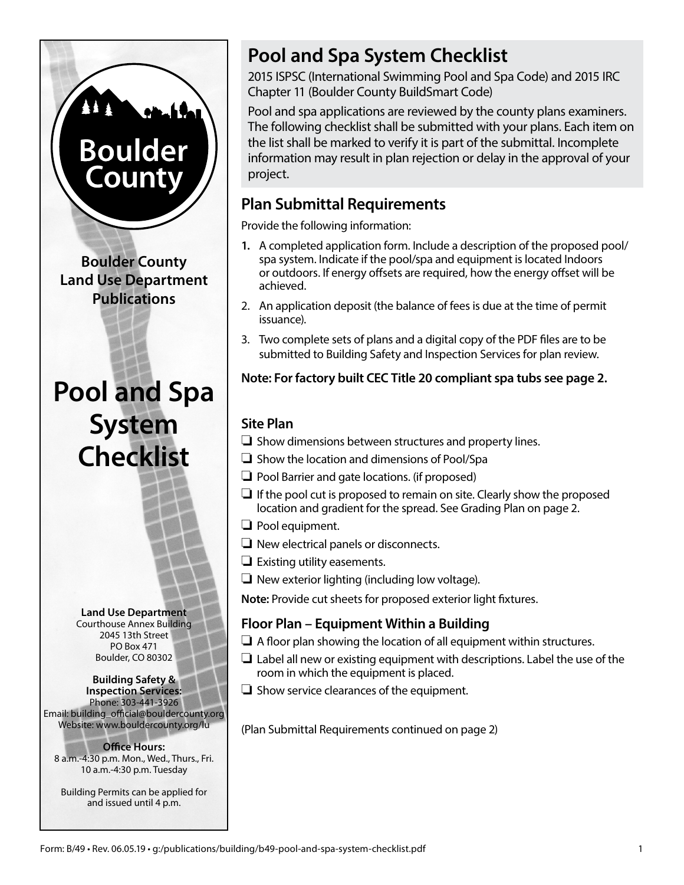# **Boulder** Count

**Boulder County Land Use Department Publications**

# **Pool and Spa System Checklist**

**Land Use Department** Courthouse Annex Building 2045 13th Street PO Box 471 Boulder, CO 80302

#### **Building Safety & Inspection Services:** Phone: 303-441-3926 Email: building\_official@bouldercounty.org Website: www.bouldercounty.org/lu

**Office Hours:** 8 a.m.-4:30 p.m. Mon., Wed., Thurs., Fri. 10 a.m.-4:30 p.m. Tuesday

Building Permits can be applied for and issued until 4 p.m.

# **Pool and Spa System Checklist**

2015 ISPSC (International Swimming Pool and Spa Code) and 2015 IRC Chapter 11 (Boulder County BuildSmart Code)

Pool and spa applications are reviewed by the county plans examiners. The following checklist shall be submitted with your plans. Each item on the list shall be marked to verify it is part of the submittal. Incomplete information may result in plan rejection or delay in the approval of your project.

# **Plan Submittal Requirements**

Provide the following information:

- **1.** A completed application form. Include a description of the proposed pool/ spa system. Indicate if the pool/spa and equipment is located Indoors or outdoors. If energy offsets are required, how the energy offset will be achieved.
- 2. An application deposit (the balance of fees is due at the time of permit issuance).
- 3. Two complete sets of plans and a digital copy of the PDF files are to be submitted to Building Safety and Inspection Services for plan review.

# **Note: For factory built CEC Title 20 compliant spa tubs see page 2.**

# **Site Plan**

- $\Box$  Show dimensions between structures and property lines.
- $\Box$  Show the location and dimensions of Pool/Spa
- $\Box$  Pool Barrier and gate locations. (if proposed)
- $\Box$  If the pool cut is proposed to remain on site. Clearly show the proposed location and gradient for the spread. See Grading Plan on page 2.
- $\Box$  Pool equipment.
- $\Box$  New electrical panels or disconnects.
- $\Box$  Existing utility easements.
- $\Box$  New exterior lighting (including low voltage).

**Note:** Provide cut sheets for proposed exterior light fixtures.

# **Floor Plan – Equipment Within a Building**

- $\Box$  A floor plan showing the location of all equipment within structures.
- $\Box$  Label all new or existing equipment with descriptions. Label the use of the room in which the equipment is placed.
- $\Box$  Show service clearances of the equipment.

(Plan Submittal Requirements continued on page 2)